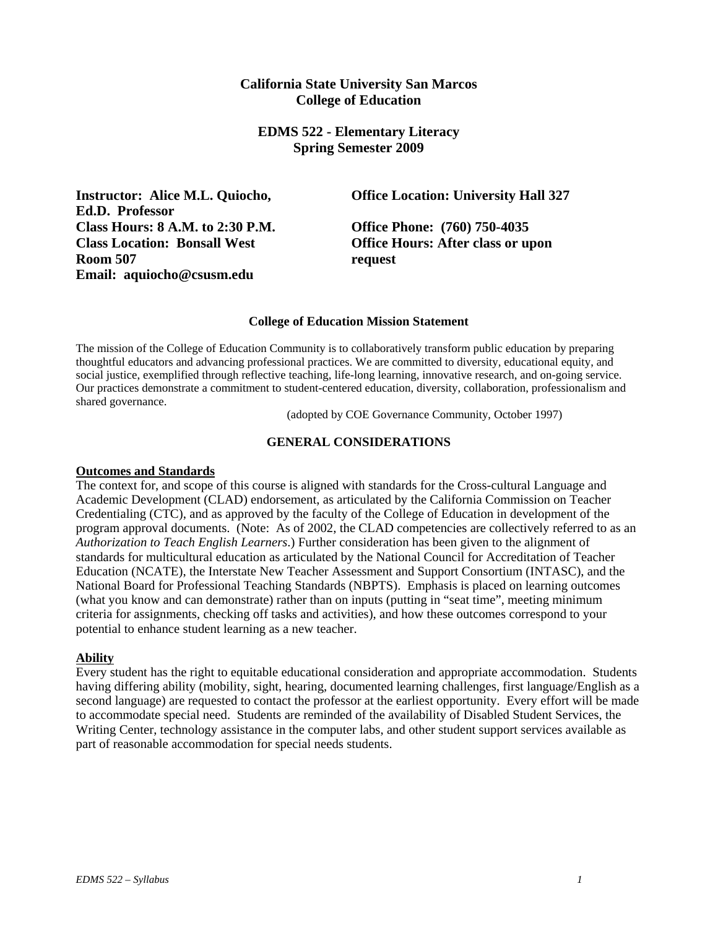## **California State University San Marcos College of Education**

# **EDMS 522 - Elementary Literacy Spring Semester 2009**

**Ed.D. Professor Class Hours: 8 A.M. to 2:30 P.M. Office Phone: (760) 750-4035 Room 507** request **Email: aquiocho@csusm.edu** 

**Instructor: Alice M.L. Quiocho, Construction: University Hall 327** 

**Class Location: Bonsall West Office Hours: After class or upon** 

## **College of Education Mission Statement**

The mission of the College of Education Community is to collaboratively transform public education by preparing thoughtful educators and advancing professional practices. We are committed to diversity, educational equity, and social justice, exemplified through reflective teaching, life-long learning, innovative research, and on-going service. Our practices demonstrate a commitment to student-centered education, diversity, collaboration, professionalism and shared governance.

(adopted by COE Governance Community, October 1997)

# **GENERAL CONSIDERATIONS**

#### **Outcomes and Standards**

The context for, and scope of this course is aligned with standards for the Cross-cultural Language and Academic Development (CLAD) endorsement, as articulated by the California Commission on Teacher Credentialing (CTC), and as approved by the faculty of the College of Education in development of the program approval documents. (Note: As of 2002, the CLAD competencies are collectively referred to as an *Authorization to Teach English Learners*.) Further consideration has been given to the alignment of standards for multicultural education as articulated by the National Council for Accreditation of Teacher Education (NCATE), the Interstate New Teacher Assessment and Support Consortium (INTASC), and the National Board for Professional Teaching Standards (NBPTS). Emphasis is placed on learning outcomes (what you know and can demonstrate) rather than on inputs (putting in "seat time", meeting minimum criteria for assignments, checking off tasks and activities), and how these outcomes correspond to your potential to enhance student learning as a new teacher.

## **Ability**

Every student has the right to equitable educational consideration and appropriate accommodation. Students having differing ability (mobility, sight, hearing, documented learning challenges, first language/English as a second language) are requested to contact the professor at the earliest opportunity. Every effort will be made to accommodate special need. Students are reminded of the availability of Disabled Student Services, the Writing Center, technology assistance in the computer labs, and other student support services available as part of reasonable accommodation for special needs students.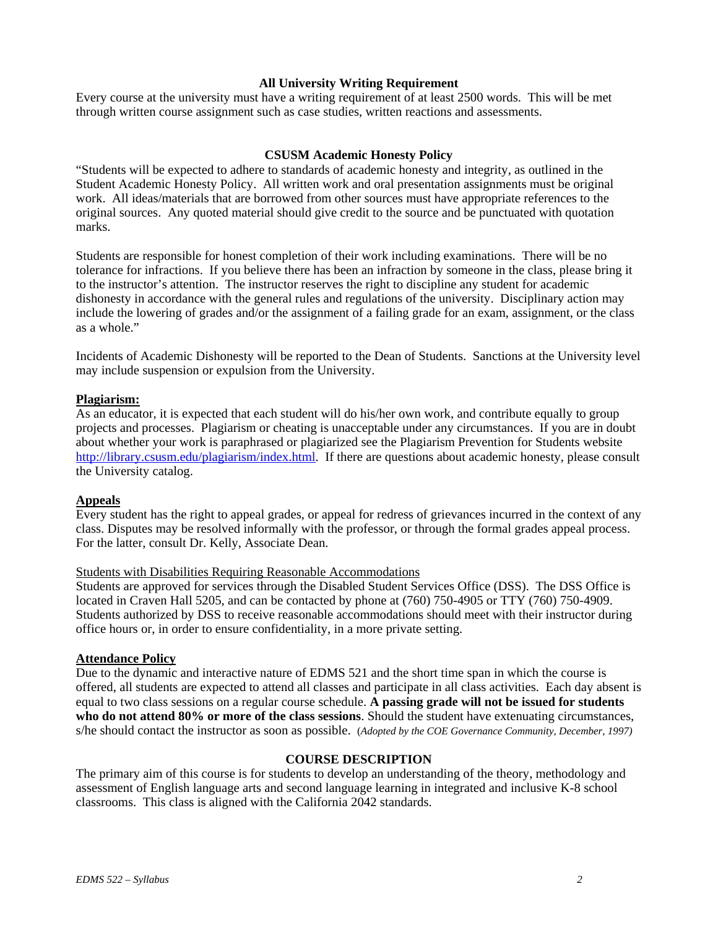## **All University Writing Requirement**

Every course at the university must have a writing requirement of at least 2500 words. This will be met through written course assignment such as case studies, written reactions and assessments.

## **CSUSM Academic Honesty Policy**

"Students will be expected to adhere to standards of academic honesty and integrity, as outlined in the Student Academic Honesty Policy. All written work and oral presentation assignments must be original work. All ideas/materials that are borrowed from other sources must have appropriate references to the original sources. Any quoted material should give credit to the source and be punctuated with quotation marks.

Students are responsible for honest completion of their work including examinations. There will be no tolerance for infractions. If you believe there has been an infraction by someone in the class, please bring it to the instructor's attention. The instructor reserves the right to discipline any student for academic dishonesty in accordance with the general rules and regulations of the university. Disciplinary action may include the lowering of grades and/or the assignment of a failing grade for an exam, assignment, or the class as a whole."

Incidents of Academic Dishonesty will be reported to the Dean of Students. Sanctions at the University level may include suspension or expulsion from the University.

#### **Plagiarism:**

As an educator, it is expected that each student will do his/her own work, and contribute equally to group projects and processes. Plagiarism or cheating is unacceptable under any circumstances. If you are in doubt about whether your work is paraphrased or plagiarized see the Plagiarism Prevention for Students website http://library.csusm.edu/plagiarism/index.html. If there are questions about academic honesty, please consult the University catalog.

#### **Appeals**

Every student has the right to appeal grades, or appeal for redress of grievances incurred in the context of any class. Disputes may be resolved informally with the professor, or through the formal grades appeal process. For the latter, consult Dr. Kelly, Associate Dean.

#### Students with Disabilities Requiring Reasonable Accommodations

Students are approved for services through the Disabled Student Services Office (DSS). The DSS Office is located in Craven Hall 5205, and can be contacted by phone at (760) 750-4905 or TTY (760) 750-4909. Students authorized by DSS to receive reasonable accommodations should meet with their instructor during office hours or, in order to ensure confidentiality, in a more private setting.

#### **Attendance Policy**

Due to the dynamic and interactive nature of EDMS 521 and the short time span in which the course is offered, all students are expected to attend all classes and participate in all class activities. Each day absent is equal to two class sessions on a regular course schedule. **A passing grade will not be issued for students who do not attend 80% or more of the class sessions**. Should the student have extenuating circumstances, s/he should contact the instructor as soon as possible. (*Adopted by the COE Governance Community, December, 1997)* 

## **COURSE DESCRIPTION**

The primary aim of this course is for students to develop an understanding of the theory, methodology and assessment of English language arts and second language learning in integrated and inclusive K-8 school classrooms. This class is aligned with the California 2042 standards.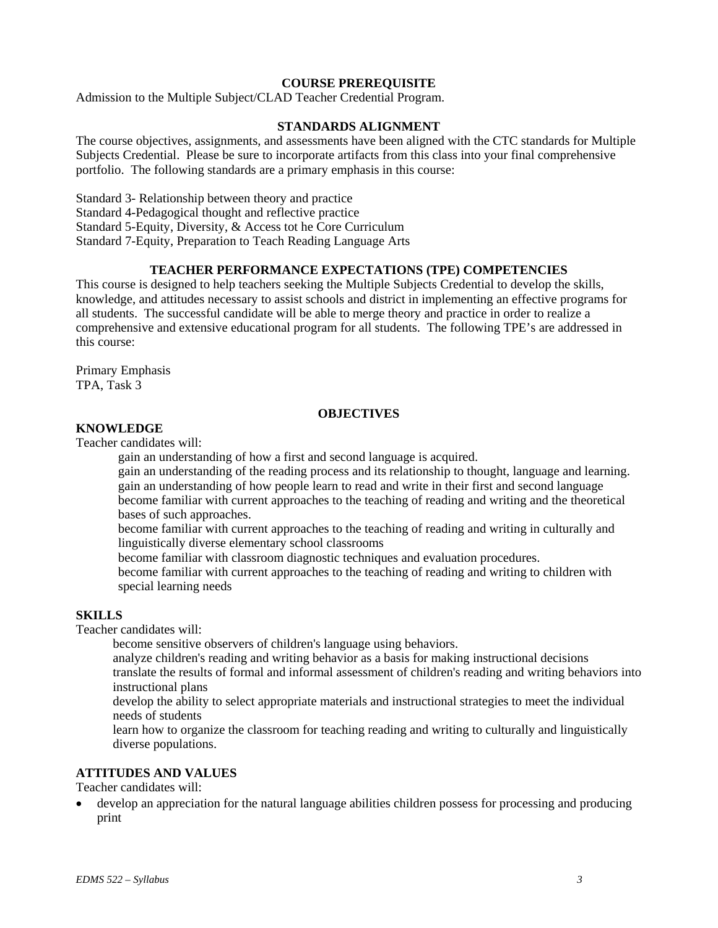# **COURSE PREREQUISITE**

Admission to the Multiple Subject/CLAD Teacher Credential Program.

## **STANDARDS ALIGNMENT**

The course objectives, assignments, and assessments have been aligned with the CTC standards for Multiple Subjects Credential. Please be sure to incorporate artifacts from this class into your final comprehensive portfolio. The following standards are a primary emphasis in this course:

Standard 3- Relationship between theory and practice Standard 4-Pedagogical thought and reflective practice Standard 5-Equity, Diversity, & Access tot he Core Curriculum Standard 7-Equity, Preparation to Teach Reading Language Arts

# **TEACHER PERFORMANCE EXPECTATIONS (TPE) COMPETENCIES**

This course is designed to help teachers seeking the Multiple Subjects Credential to develop the skills, knowledge, and attitudes necessary to assist schools and district in implementing an effective programs for all students. The successful candidate will be able to merge theory and practice in order to realize a comprehensive and extensive educational program for all students. The following TPE's are addressed in this course:

Primary Emphasis TPA, Task 3

## **OBJECTIVES**

# **KNOWLEDGE**

Teacher candidates will:

gain an understanding of how a first and second language is acquired.

gain an understanding of the reading process and its relationship to thought, language and learning. gain an understanding of how people learn to read and write in their first and second language become familiar with current approaches to the teaching of reading and writing and the theoretical bases of such approaches.

become familiar with current approaches to the teaching of reading and writing in culturally and linguistically diverse elementary school classrooms

become familiar with classroom diagnostic techniques and evaluation procedures.

become familiar with current approaches to the teaching of reading and writing to children with special learning needs

## **SKILLS**

Teacher candidates will:

become sensitive observers of children's language using behaviors.

analyze children's reading and writing behavior as a basis for making instructional decisions translate the results of formal and informal assessment of children's reading and writing behaviors into instructional plans

develop the ability to select appropriate materials and instructional strategies to meet the individual needs of students

learn how to organize the classroom for teaching reading and writing to culturally and linguistically diverse populations.

#### **ATTITUDES AND VALUES**

Teacher candidates will:

develop an appreciation for the natural language abilities children possess for processing and producing print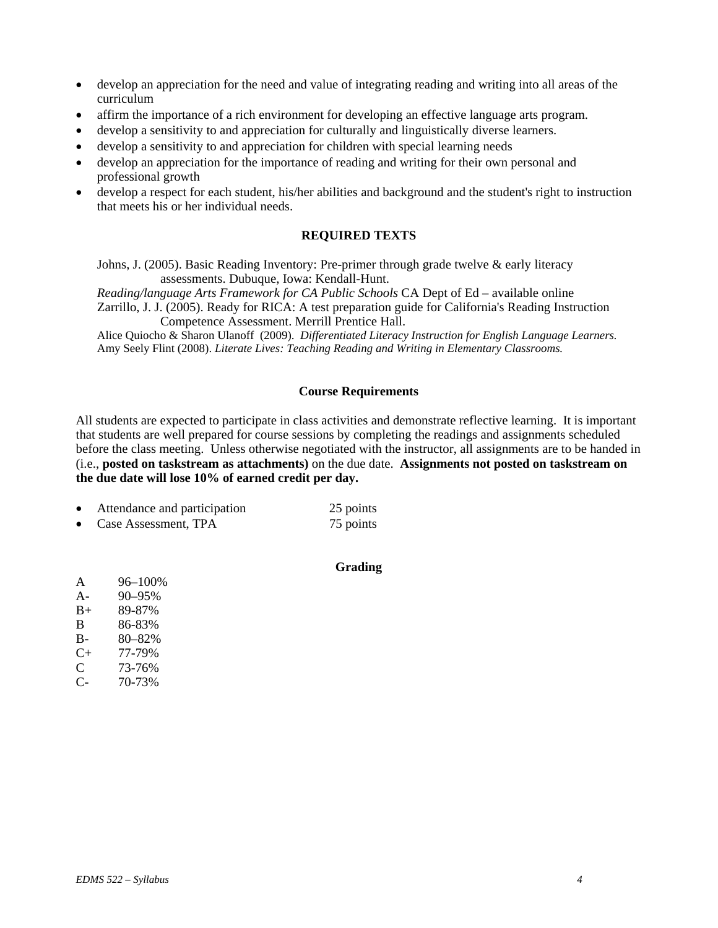- develop an appreciation for the need and value of integrating reading and writing into all areas of the curriculum
- affirm the importance of a rich environment for developing an effective language arts program.
- develop a sensitivity to and appreciation for culturally and linguistically diverse learners.
- develop a sensitivity to and appreciation for children with special learning needs
- develop an appreciation for the importance of reading and writing for their own personal and professional growth
- develop a respect for each student, his/her abilities and background and the student's right to instruction that meets his or her individual needs.

## **REQUIRED TEXTS**

Johns, J. (2005). Basic Reading Inventory: Pre-primer through grade twelve & early literacy assessments. Dubuque, Iowa: Kendall-Hunt.

*Reading/language Arts Framework for CA Public Schools* CA Dept of Ed – available online Zarrillo, J. J. (2005). Ready for RICA: A test preparation guide for California's Reading Instruction Competence Assessment. Merrill Prentice Hall.

Alice Quiocho & Sharon Ulanoff (2009). *Differentiated Literacy Instruction for English Language Learners.*  Amy Seely Flint (2008). *Literate Lives: Teaching Reading and Writing in Elementary Classrooms.* 

#### **Course Requirements**

 **the due date will lose 10% of earned credit per day.** All students are expected to participate in class activities and demonstrate reflective learning. It is important that students are well prepared for course sessions by completing the readings and assignments scheduled before the class meeting. Unless otherwise negotiated with the instructor, all assignments are to be handed in (i.e., **posted on taskstream as attachments)** on the due date. **Assignments not posted on taskstream on** 

| $\bullet$ | Attendance and participation | 25 points |
|-----------|------------------------------|-----------|
| $\bullet$ | Case Assessment, TPA         | 75 points |

## **Grading**

| A     | 96–100% |
|-------|---------|
| A-    | 90-95%  |
| $B+$  | 89-87%  |
| B     | 86-83%  |
| $B -$ | 80-82%  |
| $C+$  | 77-79%  |
| C     | 73-76%  |
| C-    | 70-73%  |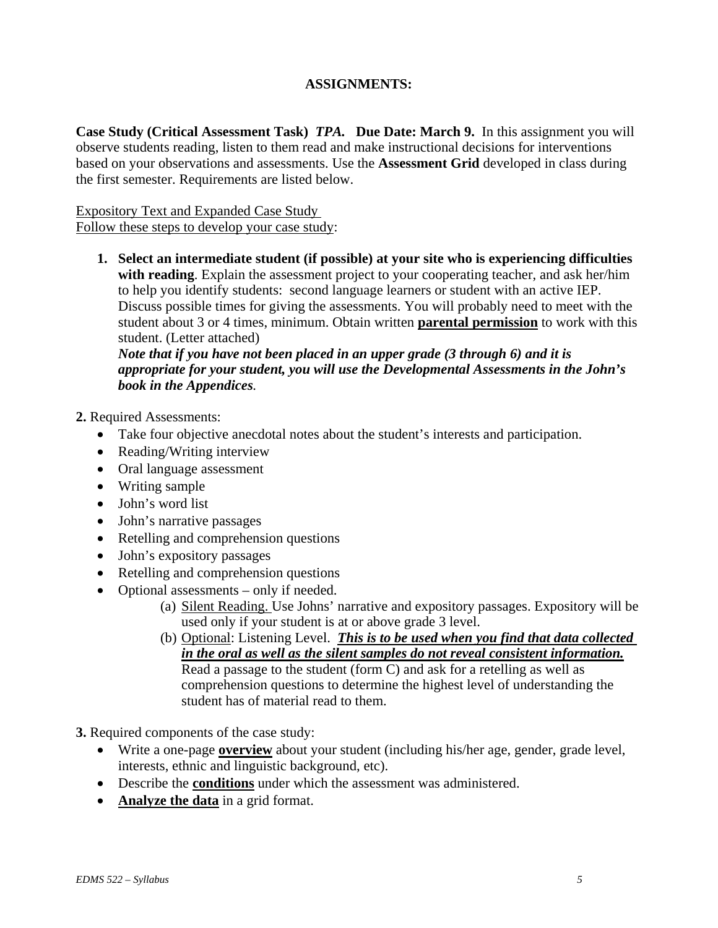# **ASSIGNMENTS:**

**Case Study (Critical Assessment Task)** *TPA.* **Due Date: March 9.** In this assignment you will observe students reading, listen to them read and make instructional decisions for interventions based on your observations and assessments. Use the **Assessment Grid** developed in class during the first semester. Requirements are listed below.

Expository Text and Expanded Case Study Follow these steps to develop your case study:

to help you identify students: second language learners or student with an active IEP. **1. Select an intermediate student (if possible) at your site who is experiencing difficulties with reading**. Explain the assessment project to your cooperating teacher, and ask her/him Discuss possible times for giving the assessments. You will probably need to meet with the student about 3 or 4 times, minimum. Obtain written **parental permission** to work with this student. (Letter attached)

*Note that if you have not been placed in an upper grade (3 through 6) and it is appropriate for your student, you will use the Developmental Assessments in the John's book in the Appendices.* 

- **2.** Required Assessments:
	- Take four objective anecdotal notes about the student's interests and participation.
	- Reading/Writing interview
	- Oral language assessment
	- Writing sample
	- John's word list
	- John's narrative passages
	- Retelling and comprehension questions
	- John's expository passages
	- Retelling and comprehension questions
	- Optional assessments only if needed.
		- (a) Silent Reading. Use Johns' narrative and expository passages. Expository will be used only if your student is at or above grade 3 level.
		- *in the oral as well as the silent samples do not reveal consistent information.* (b) Optional: Listening Level. *This is to be used when you find that data collected*  Read a passage to the student (form C) and ask for a retelling as well as comprehension questions to determine the highest level of understanding the student has of material read to them.

**3.** Required components of the case study:

- Write a one-page **overview** about your student (including his/her age, gender, grade level, interests, ethnic and linguistic background, etc).
- Describe the **conditions** under which the assessment was administered.
- • **Analyze the data** in a grid format.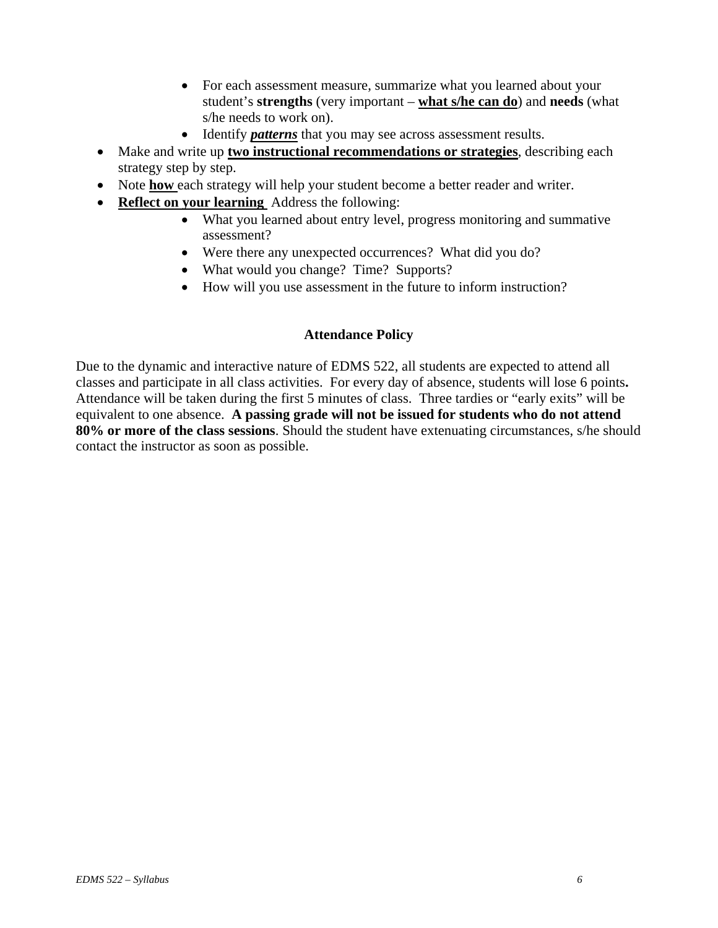- For each assessment measure, summarize what you learned about your student's **strengths** (very important – **what s/he can do**) and **needs** (what s/he needs to work on).
- Identify *patterns* that you may see across assessment results.
- Make and write up **two instructional recommendations or strategies**, describing each strategy step by step.
- Note **how** each strategy will help your student become a better reader and writer.
- • **Reflect on your learning** Address the following:
	- What you learned about entry level, progress monitoring and summative assessment?
	- Were there any unexpected occurrences? What did you do?
	- What would you change? Time? Supports?
	- How will you use assessment in the future to inform instruction?

# **Attendance Policy**

Due to the dynamic and interactive nature of EDMS 522, all students are expected to attend all classes and participate in all class activities. For every day of absence, students will lose 6 points**.**  Attendance will be taken during the first 5 minutes of class. Three tardies or "early exits" will be equivalent to one absence. **A passing grade will not be issued for students who do not attend 80% or more of the class sessions**. Should the student have extenuating circumstances, s/he should contact the instructor as soon as possible.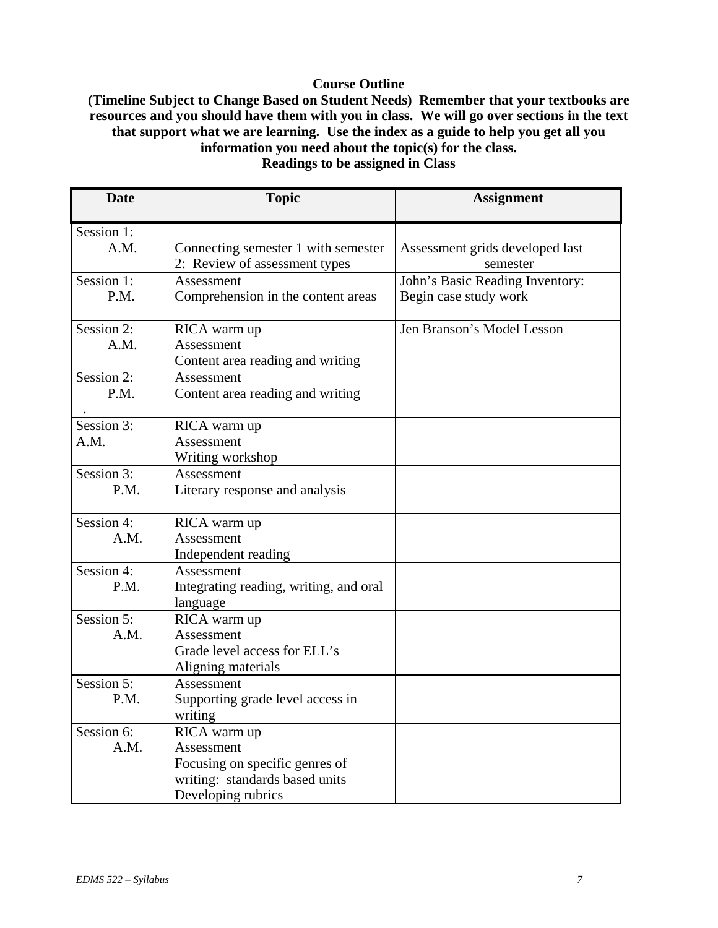# **Course Outline**

**(Timeline Subject to Change Based on Student Needs) Remember that your textbooks are resources and you should have them with you in class. We will go over sections in the text that support what we are learning. Use the index as a guide to help you get all you information you need about the topic(s) for the class. Readings to be assigned in Class** 

| <b>Date</b>           | <b>Topic</b>                                                                                                         | <b>Assignment</b>                                        |
|-----------------------|----------------------------------------------------------------------------------------------------------------------|----------------------------------------------------------|
| Session 1:<br>A.M.    | Connecting semester 1 with semester<br>2: Review of assessment types                                                 | Assessment grids developed last<br>semester              |
| Session 1:<br>P.M.    | Assessment<br>Comprehension in the content areas                                                                     | John's Basic Reading Inventory:<br>Begin case study work |
| Session 2:<br>A.M.    | RICA warm up<br>Assessment<br>Content area reading and writing                                                       | Jen Branson's Model Lesson                               |
| Session 2:<br>P.M.    | Assessment<br>Content area reading and writing                                                                       |                                                          |
| Session $3$ :<br>A.M. | RICA warm up<br>Assessment<br>Writing workshop                                                                       |                                                          |
| Session 3:<br>P.M.    | Assessment<br>Literary response and analysis                                                                         |                                                          |
| Session 4:<br>A.M.    | RICA warm up<br>Assessment<br>Independent reading                                                                    |                                                          |
| Session 4:<br>P.M.    | Assessment<br>Integrating reading, writing, and oral<br>language                                                     |                                                          |
| Session 5:<br>A.M.    | RICA warm up<br>Assessment<br>Grade level access for ELL's<br>Aligning materials                                     |                                                          |
| Session 5:<br>P.M.    | Assessment<br>Supporting grade level access in<br>writing                                                            |                                                          |
| Session 6:<br>A.M.    | RICA warm up<br>Assessment<br>Focusing on specific genres of<br>writing: standards based units<br>Developing rubrics |                                                          |